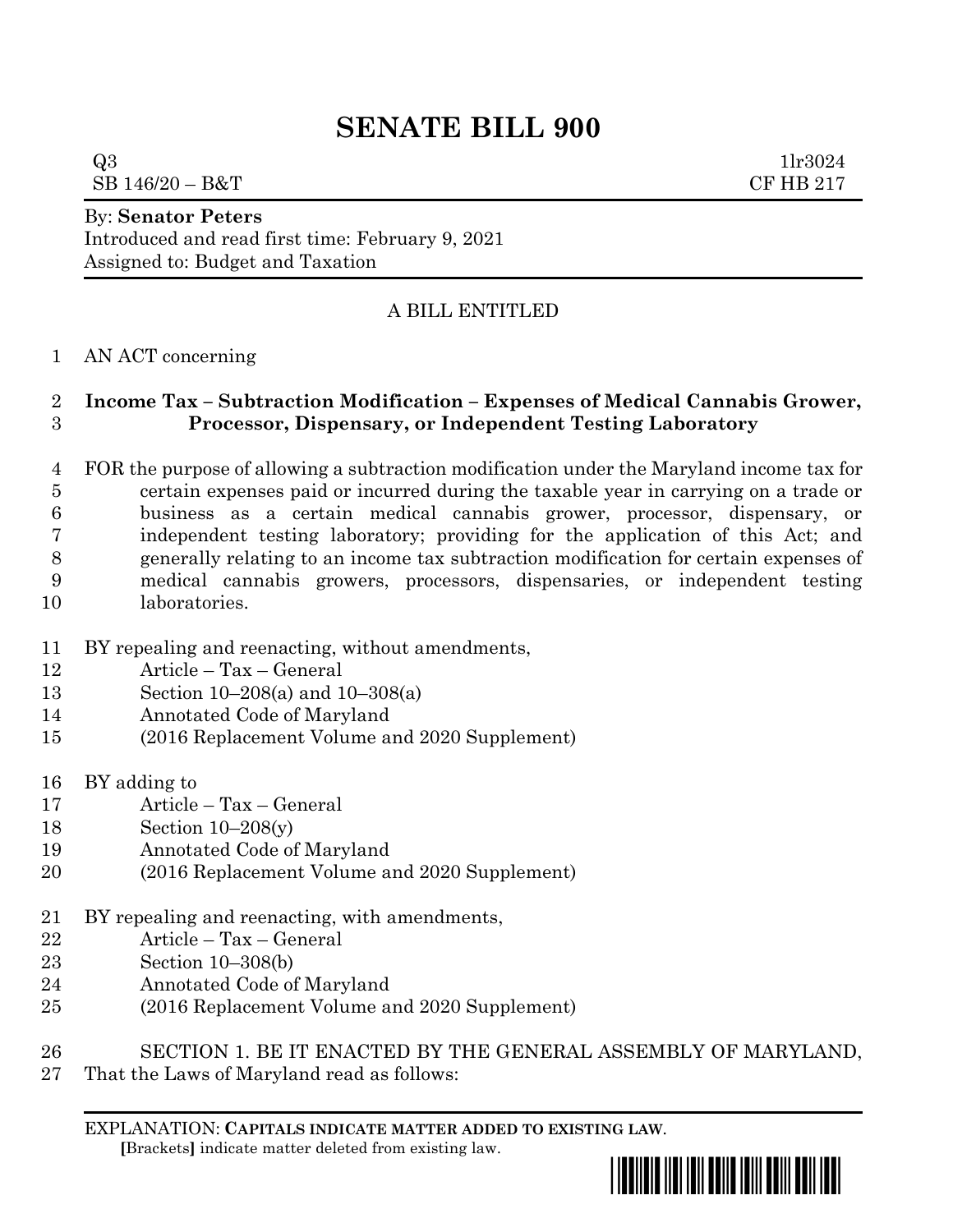# **SENATE BILL 900**

 $Q3$  1lr3024  $SB\ 146/20 - B&T$  CF HB 217

By: **Senator Peters**

Introduced and read first time: February 9, 2021 Assigned to: Budget and Taxation

## A BILL ENTITLED

#### AN ACT concerning

### **Income Tax – Subtraction Modification – Expenses of Medical Cannabis Grower, Processor, Dispensary, or Independent Testing Laboratory**

- FOR the purpose of allowing a subtraction modification under the Maryland income tax for certain expenses paid or incurred during the taxable year in carrying on a trade or business as a certain medical cannabis grower, processor, dispensary, or independent testing laboratory; providing for the application of this Act; and generally relating to an income tax subtraction modification for certain expenses of medical cannabis growers, processors, dispensaries, or independent testing laboratories.
- BY repealing and reenacting, without amendments,
- Article Tax General
- Section 10–208(a) and 10–308(a)
- Annotated Code of Maryland
- (2016 Replacement Volume and 2020 Supplement)
- BY adding to
- Article Tax General
- Section 10–208(y)
- Annotated Code of Maryland
- (2016 Replacement Volume and 2020 Supplement)
- BY repealing and reenacting, with amendments,
- Article Tax General
- Section 10–308(b)
- Annotated Code of Maryland
- (2016 Replacement Volume and 2020 Supplement)
- SECTION 1. BE IT ENACTED BY THE GENERAL ASSEMBLY OF MARYLAND,
- That the Laws of Maryland read as follows:

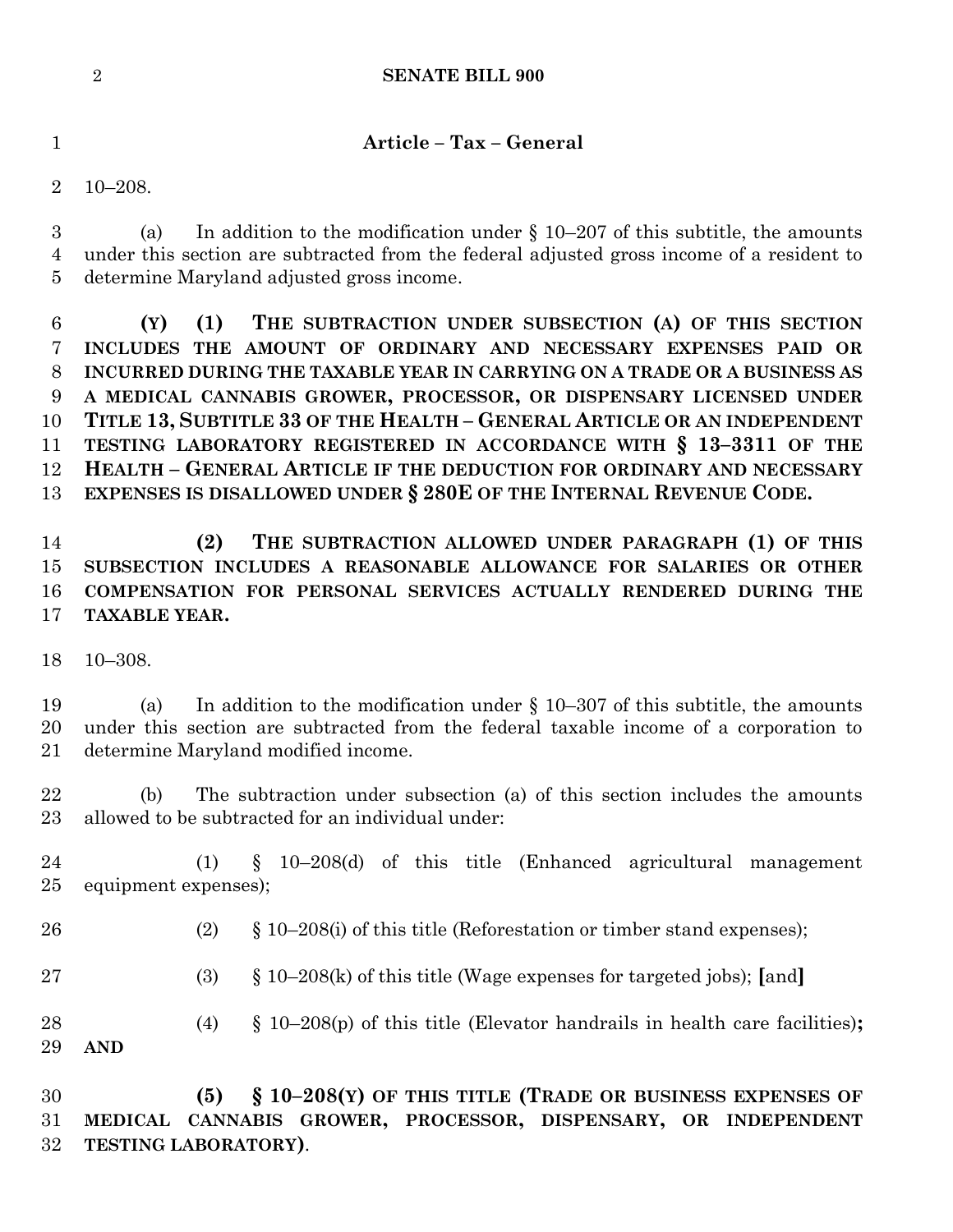#### **SENATE BILL 900**

**Article – Tax – General**

10–208.

 (a) In addition to the modification under § 10–207 of this subtitle, the amounts under this section are subtracted from the federal adjusted gross income of a resident to determine Maryland adjusted gross income.

 **(Y) (1) THE SUBTRACTION UNDER SUBSECTION (A) OF THIS SECTION INCLUDES THE AMOUNT OF ORDINARY AND NECESSARY EXPENSES PAID OR INCURRED DURING THE TAXABLE YEAR IN CARRYING ON A TRADE OR A BUSINESS AS A MEDICAL CANNABIS GROWER, PROCESSOR, OR DISPENSARY LICENSED UNDER TITLE 13, SUBTITLE 33 OF THE HEALTH – GENERAL ARTICLE OR AN INDEPENDENT TESTING LABORATORY REGISTERED IN ACCORDANCE WITH § 13–3311 OF THE HEALTH – GENERAL ARTICLE IF THE DEDUCTION FOR ORDINARY AND NECESSARY EXPENSES IS DISALLOWED UNDER § 280E OF THE INTERNAL REVENUE CODE.**

 **(2) THE SUBTRACTION ALLOWED UNDER PARAGRAPH (1) OF THIS SUBSECTION INCLUDES A REASONABLE ALLOWANCE FOR SALARIES OR OTHER COMPENSATION FOR PERSONAL SERVICES ACTUALLY RENDERED DURING THE TAXABLE YEAR.**

10–308.

 (a) In addition to the modification under § 10–307 of this subtitle, the amounts under this section are subtracted from the federal taxable income of a corporation to determine Maryland modified income.

 (b) The subtraction under subsection (a) of this section includes the amounts allowed to be subtracted for an individual under:

 (1) § 10–208(d) of this title (Enhanced agricultural management equipment expenses);

(2) § 10–208(i) of this title (Reforestation or timber stand expenses);

(3) § 10–208(k) of this title (Wage expenses for targeted jobs); **[**and**]**

 (4) § 10–208(p) of this title (Elevator handrails in health care facilities)**; AND**

 **(5) § 10–208(Y) OF THIS TITLE (TRADE OR BUSINESS EXPENSES OF MEDICAL CANNABIS GROWER, PROCESSOR, DISPENSARY, OR INDEPENDENT TESTING LABORATORY)**.